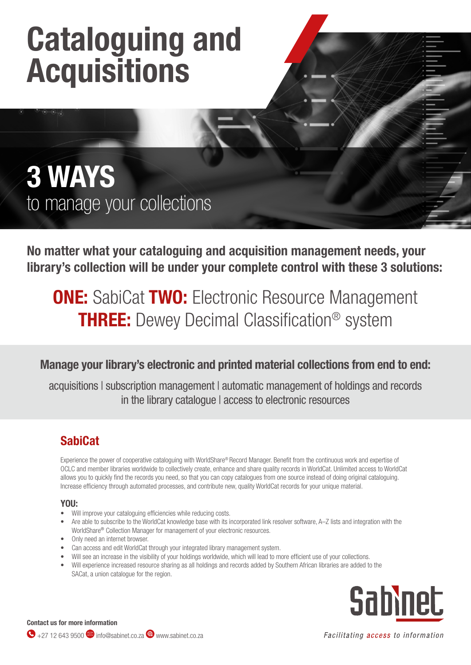# Cataloguing and Acquisitions

## 3 WAYS to manage your collections

No matter what your cataloguing and acquisition management needs, your library's collection will be under your complete control with these 3 solutions:

## **ONE:** SabiCat TWO: Electronic Resource Management **THREE:** Dewey Decimal Classification<sup>®</sup> system

### Manage your library's electronic and printed material collections from end to end:

acquisitions | subscription management | automatic management of holdings and records in the library catalogue | access to electronic resources

### **SabiCat**

Experience the power of cooperative cataloguing with WorldShare® Record Manager. Benefit from the continuous work and expertise of OCLC and member libraries worldwide to collectively create, enhance and share quality records in WorldCat. Unlimited access to WorldCat allows you to quickly find the records you need, so that you can copy catalogues from one source instead of doing original cataloguing. Increase efficiency through automated processes, and contribute new, quality WorldCat records for your unique material.

#### YOU:

- Will improve your cataloguing efficiencies while reducing costs.
- Are able to subscribe to the WorldCat knowledge base with its incorporated link resolver software, A–Z lists and integration with the WorldShare® Collection Manager for management of your electronic resources.
- Only need an internet browser.
- Can access and edit WorldCat through your integrated library management system.
- Will see an increase in the visibility of your holdings worldwide, which will lead to more efficient use of your collections.
- Will experience increased resource sharing as all holdings and records added by Southern African libraries are added to the SACat, a union catalogue for the region.



Contact us for more information

Facilitating access to information